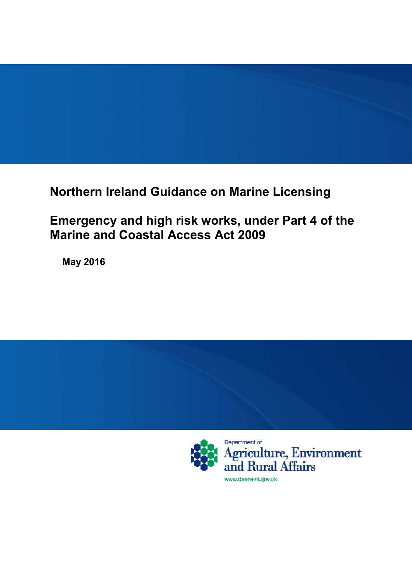**Northern Ireland Guidance on Marine Licensing**

**Emergency and high risk works, under Part 4 of the Marine and Coastal Access Act 2009**

**May 2016**

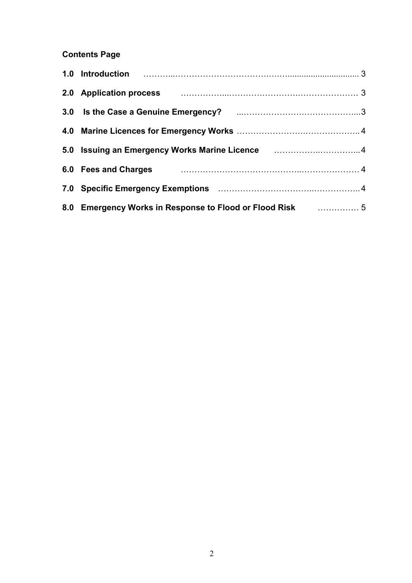**Contents Page**

| 2.0 Application process <b>Manual Exercise According to Application process</b> 3 |  |
|-----------------------------------------------------------------------------------|--|
|                                                                                   |  |
|                                                                                   |  |
| 5.0 Issuing an Emergency Works Marine Licence <b>construents and State Inc.</b> 4 |  |
|                                                                                   |  |
|                                                                                   |  |
| 8.0 Emergency Works in Response to Flood or Flood Risk <b>Commension</b> 5        |  |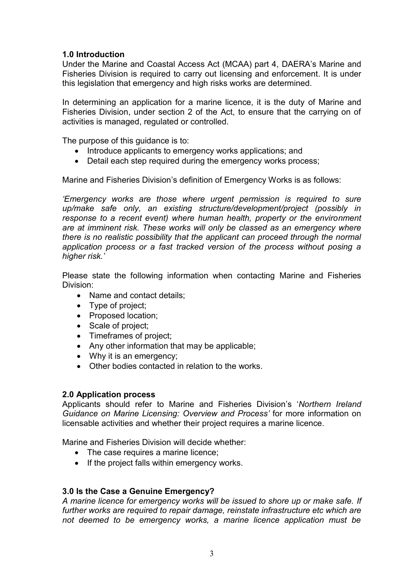# **1.0 Introduction**

Under the Marine and Coastal Access Act (MCAA) part 4, DAERA's Marine and Fisheries Division is required to carry out licensing and enforcement. It is under this legislation that emergency and high risks works are determined.

In determining an application for a marine licence, it is the duty of Marine and Fisheries Division, under section 2 of the Act, to ensure that the carrying on of activities is managed, regulated or controlled.

The purpose of this guidance is to:

- Introduce applicants to emergency works applications; and
- Detail each step required during the emergency works process;

Marine and Fisheries Division's definition of Emergency Works is as follows:

*'Emergency works are those where urgent permission is required to sure up/make safe only, an existing structure/development/project (possibly in response to a recent event) where human health, property or the environment are at imminent risk. These works will only be classed as an emergency where there is no realistic possibility that the applicant can proceed through the normal application process or a fast tracked version of the process without posing a higher risk.'*

Please state the following information when contacting Marine and Fisheries Division:

- Name and contact details;
- Type of project;
- Proposed location:
- Scale of project;
- Timeframes of project;
- Any other information that may be applicable;
- Why it is an emergency;
- Other bodies contacted in relation to the works.

#### **2.0 Application process**

Applicants should refer to Marine and Fisheries Division's '*Northern Ireland Guidance on Marine Licensing: Overview and Process'* for more information on licensable activities and whether their project requires a marine licence.

Marine and Fisheries Division will decide whether:

- The case requires a marine licence:
- If the project falls within emergency works.

#### **3.0 Is the Case a Genuine Emergency?**

*A marine licence for emergency works will be issued to shore up or make safe. If further works are required to repair damage, reinstate infrastructure etc which are not deemed to be emergency works, a marine licence application must be*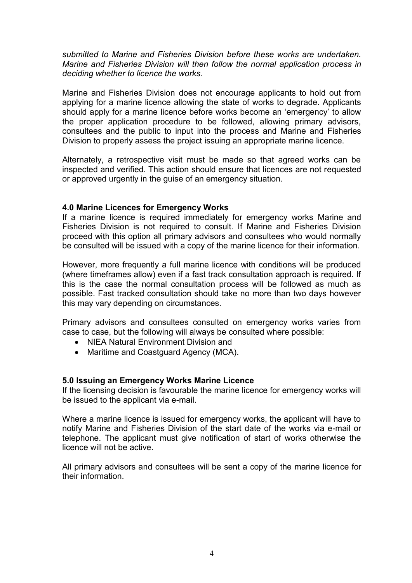*submitted to Marine and Fisheries Division before these works are undertaken. Marine and Fisheries Division will then follow the normal application process in deciding whether to licence the works.*

Marine and Fisheries Division does not encourage applicants to hold out from applying for a marine licence allowing the state of works to degrade. Applicants should apply for a marine licence before works become an 'emergency' to allow the proper application procedure to be followed, allowing primary advisors, consultees and the public to input into the process and Marine and Fisheries Division to properly assess the project issuing an appropriate marine licence.

Alternately, a retrospective visit must be made so that agreed works can be inspected and verified. This action should ensure that licences are not requested or approved urgently in the guise of an emergency situation.

#### **4.0 Marine Licences for Emergency Works**

If a marine licence is required immediately for emergency works Marine and Fisheries Division is not required to consult. If Marine and Fisheries Division proceed with this option all primary advisors and consultees who would normally be consulted will be issued with a copy of the marine licence for their information.

However, more frequently a full marine licence with conditions will be produced (where timeframes allow) even if a fast track consultation approach is required. If this is the case the normal consultation process will be followed as much as possible. Fast tracked consultation should take no more than two days however this may vary depending on circumstances.

Primary advisors and consultees consulted on emergency works varies from case to case, but the following will always be consulted where possible:

- NIEA Natural Environment Division and
- Maritime and Coastguard Agency (MCA).

#### **5.0 Issuing an Emergency Works Marine Licence**

If the licensing decision is favourable the marine licence for emergency works will be issued to the applicant via e-mail.

Where a marine licence is issued for emergency works, the applicant will have to notify Marine and Fisheries Division of the start date of the works via e-mail or telephone. The applicant must give notification of start of works otherwise the licence will not be active.

All primary advisors and consultees will be sent a copy of the marine licence for their information.